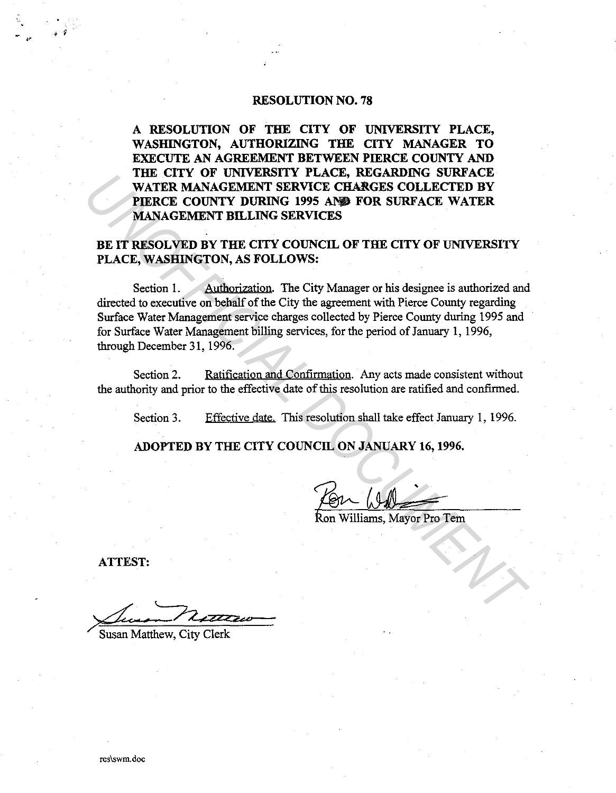## RESOLUTION NO. 78

A RESOLUTION OF THE CITY OF UNIVERSITY PLACE, WASHINGTON, AUTHORIZING THE CITY MANAGER TO EXECUTE AN AGREEMENT BETWEEN PIERCE COUNTY AND THE CITY OF UNIVERSITY PLACE, REGARDING SURFACE WATER MANAGEMENT SERVICE CHARGES COLLECTED BY PIERCE COUNTY DURING 1995 AND FOR SURFACE WATER MANAGEMENT BILLING SERVICES

BE IT RESOLVED BY THE CITY COUNCIL OF THE CITY OF UNIVERSITY PLACE, WASHINGTON, AS FOLLOWS:

Section 1. Authorization. The City Manager or his designee is authorized and directed to executive on behalf of the City the agreement with Pierce County regarding Surface Water Management service charges collected by Pierce County during 1995 and for Surface Water Management billing services, for the period of January 1, 1996, through December 31, 1996. **UNITER MANAGEMENT FERVICE CHARGES COLLECTED BY<br>
PIERCE COUNTY DURING 1995 AND FOR SURFACE WATER<br>
PIERCE COUNTY DURING 1995 AND FOR SURFACE WATER<br>
BE IT RESOLVED BY THE CITY COUNCIL OF THE CITY OF UNIVERSITY<br>
BE IT RESOLVE** 

Section 2. Ratification and Confirmation. Any acts made consistent without the authority and prior to the effective date of this resolution are ratified and confirmed.

Section 3. Effective date. This resolution shall take effect January 1, 1996.

ADOPTED BY THE CITY COUNCIL ON JANUARY 16, 1996.

ATTEST:

' *i* 

*<u>//www.matthew.City Clerk</u>*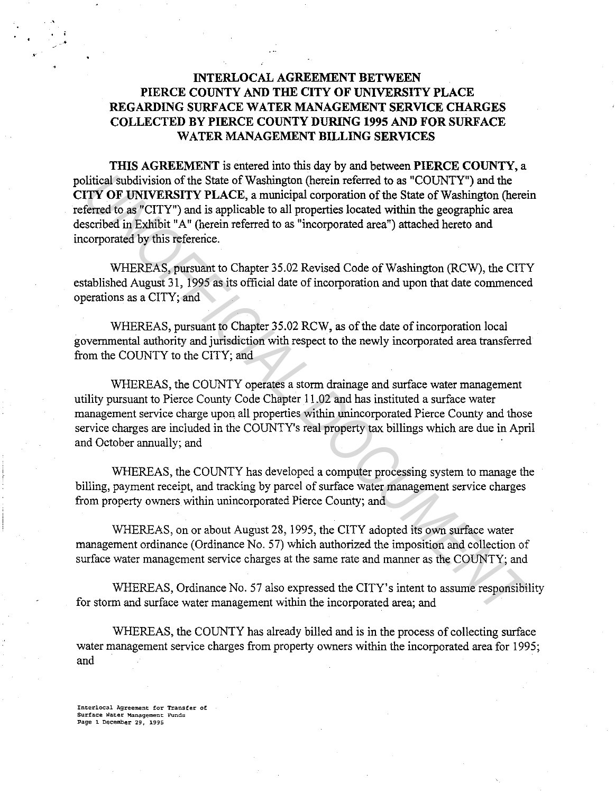# **INTERLOCAL AGREEMENT BETWEEN PIERCE COUNTY AND THE CITY OF UNIVERSITY PLACE REGARDING SURFACE WATER MANAGEMENT SERVICE CHARGES COLLECTED BY PIERCE COUNTY DURING 1995 AND FOR SURFACE WATER MANAGEMENT BILLING SERVICES**

**THIS AGREEMENT** is entered into this day by and between **PIERCE COUNTY,** a political subdivision of the State of Washington (herein referred to as "COUNTY") and the **CITY OF UNIVERSITY PLACE,** a municipal corporation of the State of Washington (herein referred to as "CITY") and is applicable to all properties located within the geographic area described in Exhibit "A" (herein referred to as "incorporated area") attached hereto and incorporated by this reference. bitical subdivision of the State of Washington (herein referred to as "COUNTY") and the<br>**ITTY OF UNIVERSITY** PLACE, a municipal corporation of the State of Washington (herein<br>ferred to as "CITY") and is applicable to all p

WHEREAS, pursuant to Chapter 35.02 Revised Code of Washington (RCW), the CITY established August 31, 1995 as its official date of incorporation and upon that date commenced operations as a CITY; and

WHEREAS, pursuant to Chapter 35.02 RCW, as of the date of incorporation local governmental authority and jurisdiction with respect to the newly incorporated area transferred from the COUNTY to the CITY; and

WHEREAS, the COUNTY operates a storm drainage and surface water management utility pursuant to Pierce County Code Chapter 11.02 and has instituted a surface water management service charge upon all properties within unincorporated Pierce County and those service charges are included in the COUNTY's real property tax billings which are due in April and October annually; and

WHEREAS, the COUNTY has developed a computer processing system to manage the billing, payment receipt, and tracking by parcel of surface water management service charges from property owners within unincorporated Pierce County; and

WHEREAS, on or about August 28, 1995, the CITY adopted its own surface water management ordinance (Ordinance No. 57) which authorized the imposition and collection of surface water management service charges at the same rate and manner as the COUNTY; and

WHEREAS, Ordinance No. 57 also expressed the CITY's intent to assume responsibility for storm and surface water management within the incorporated area; and

WHEREAS, the COUNTY has already billed and is in the process of collecting surface water management service charges from property owners within the incorporated area for 1995; and

**Incerlocal Agreement for Transfer of Surface Water Management. FUnds Page 1 December 29, 1995** 

.•

'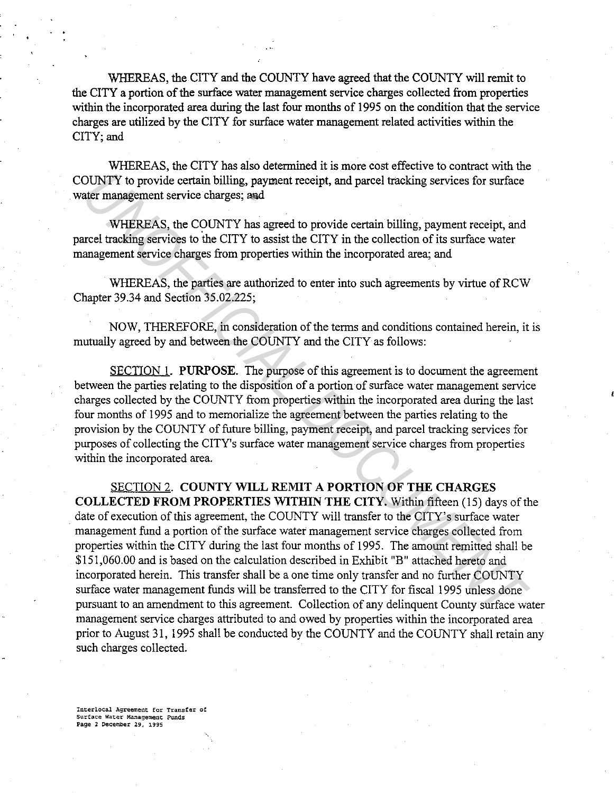WHEREAS, the CITY and the COUNTY have agreed that the COUNTY will remit to the CITY a portion of the surface water management service charges collected from properties within the incorporated area during the last four months of 1995 on the condition that the service charges are utilized by the CITY for surface water management related activities within the CITY; and

WHEREAS, the CITY has also determined it is more cost effective to contract with the COUNTY to provide certain billing, payment receipt, and parcel tracking services for surface water management service charges; and

WHEREAS, the COUNTY has agreed to provide certain billing, payment receipt, and parcel tracking services to the CITY to assist the CITY in the collection of its surface water management service charges from properties within the incorporated area; and

WHEREAS, the parties are authorized to enter into such agreements by virtue of RCW Chapter 39.34 and Section 35.02.225;

NOW, THEREFORE, in consideration of the terms and conditions contained herein, it is mutually agreed by and between the COUNTY and the CITY as follows:

SECTION 1. PURPOSE. The purpose of this agreement is to document the agreement between the parties relating to the disposition of a portion of surface water management service charges collected by the COUNTY from properties within the incorporated area during the last four months of 1995 and to memorialize the agreement between the parties relating to the provision by the COUNTY of future billing, payment receipt, and parcel tracking services for purposes of collecting the CITY's surface water management service charges from properties within the incorporated area.

SECTION 2. COUNTY WILL REMIT A PORTION OF THE CHARGES COLLECTED FROM PROPERTIES WITHIN THE CITY. Within fifteen (15) days of the date of execution of this agreement, the COUNTY will transfer to the CITY's surface water management fund a portion of the surface water management service charges collected from properties within the CITY during the last four months of 1995. The amount remitted shall be \$151,060.00 and is based on the calculation described in Exhibit "B" attached hereto and incorporated herein. This transfer shall be a one time only transfer and no further COUNTY surface water management funds will be transferred to the CITY for fiscal 1995 unless done pursuant to an amendment to this agreement. Collection of any delinquent County surface water management service charges attributed to and owed by properties within the incorporated area prior to August 31, 1995 shall be conducted by the COUNTY and the COUNTY shall retain any such charges collected. **UNITY** to provide certain billing, payment receipt, and parcel tracking services for surface<br>ater management service charges; sad<br>WHEREAS, the COUNTY has agreed to provide certain billing, payment receipt, and<br>crell track

Interlocal Agreement for Transfer of Surface Water Management Funds Page 2 DecemDer 29, 1995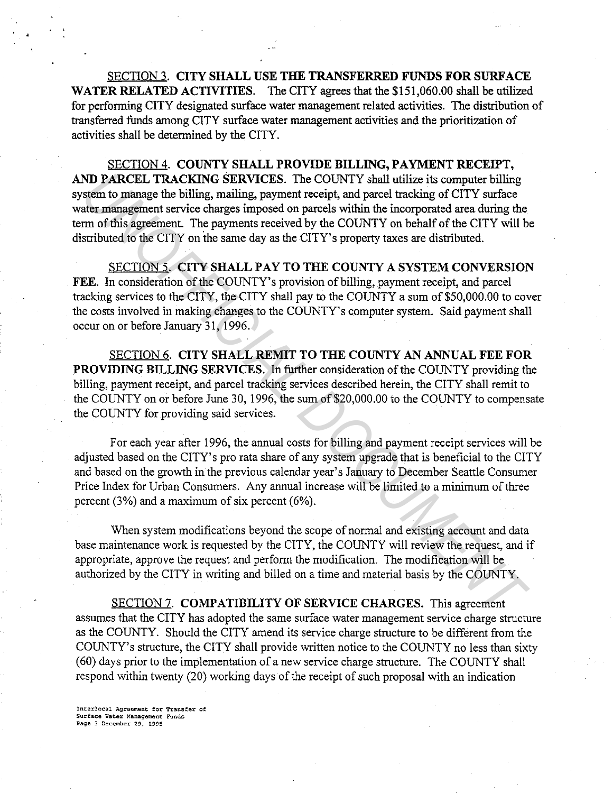SECTION 3. CITY SHALL USE THE TRANSFERRED FUNDS FOR SURFACE WATER RELATED ACTIVITIES. The CITY agrees that the \$151,060.00 shall be utilized for performing CITY designated surface water management related activities. The distribution of transferred funds among CITY surface water management activities and the prioritization of activities shall be determined by the CITY.

SECTION 4. COUNTY SHALL PROVIDE BILLING, PAYMENT RECEIPT, AND PARCEL TRACKING SERVICES. The COUNTY shall utilize its computer billing system to manage the billing, mailing, payment receipt, and parcel tracking of CITY surface water management service charges imposed on parcels within the incorporated area during the term of this agreement. The payments received by the COUNTY on behalf of the CITY will be distributed to the CITY on the same day as the CITY' s property taxes are distributed. **ND PARCEL TRACKING SERVICES.** The COUNTY shall utilize its computer billing<br>ster to mange the billing, maling, payorent receipt, and parel tacking of CITY surface<br>ater management service charges imposed on parcels within

SECTION 5. CITY SHALL PAY TO THE COUNTY A SYSTEM CONVERSION FEE. In consideration of the COUNTY's provision of billing, payment receipt, and parcel tracking services to the CITY, the CITY shall pay to the COUNTY a sum of \$50,000.00 to cover the costs involved in making changes to the COUNTY's computer system. Said payment shall occur on or before January 31, 1996.

SECTION 6. CITY SHALL REMIT TO THE COUNTY AN ANNUAL FEE FOR PROVIDING BILLING SERVICES. In further consideration of the COUNTY providing the billing, payment receipt, and parcel tracking services described herein, the CITY shall remit to the COUNTY on or before June 30, 1996, the sum of \$20,000.00 to the COUNTY to compensate the COUNTY for providing said services.

For each year after 1996, the annual costs for billing and payment receipt services will be adjusted based on the CITY's pro rata share of any system upgrade that is beneficial to the CITY and based on the growth in the previous calendar year's January to December Seattle Consumer Price Index for Urban Consumers. Any annual increase will be limited to a minimum of three percent (3%) and a maximum of six percent (6%).

When system modifications beyond the scope of normal and existing account and data base maintenance work is requested by the CITY, the COUNTY will review the request, and if appropriate, approve the request and perform the modification. The modification will be authorized by the CITY in writing and billed on a time and material basis by the COUNTY.

SECTION 7. COMPATIBILITY OF SERVICE CHARGES. This agreement assumes that the CITY has adopted the same surface water management service charge structure as the COUNTY. Should the CITY amend its service charge structure to be different from the COUNTY's structure, the CITY shall provide written notice to the COUNTY no less than sixty (60) days prior to the implementation of a new service charge structure. The COUNTY shall respond within twenty (20) working days of the receipt of such proposal with an indication

Interlocal Agreement for Transfer of Surface Water Management Funds Page 3 December 29, 1995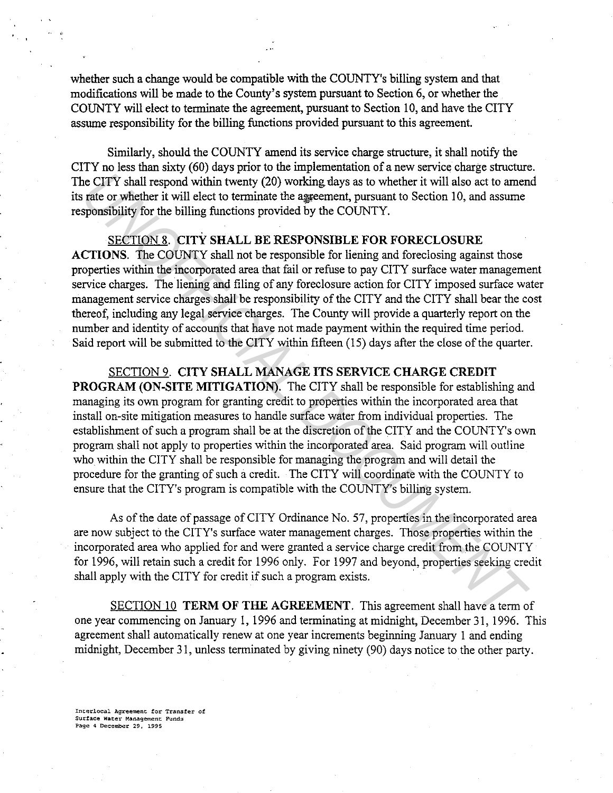whether such a change would be compatible with the COUNTY's billing system and that modifications will be made to the County's system pursuant to Section 6, or whether the COUNTY will elect to terminate the agreement, pursuant to Section 10, and have the CITY assume responsibility for the billing functions provided pursuant to this agreement.

Similarly, should the COUNTY amend its service charge structure, it shall notify the CITY no less than sixty (60) days prior to the implementation of a new service charge structure. The CITY shall respond within twenty (20) working days as to whether it will also act to amend its rate or whether it will elect to terminate the agreement, pursuant to Section 10, and assume responsibility for the billing functions provided by the COUNTY.

SECTION 8. CITY SHALL BE RESPONSIBLE FOR FORECLOSURE

ACTIONS. The COUNTY shall not be responsible for liening and foreclosing against those properties within the incorporated area that fail or refuse to pay CITY surface water management service charges. The liening and filing of any foreclosure action for CITY imposed surface water management service charges shall be responsibility of the CITY and the CITY shall bear the cost thereof, including any legal service charges. The County will provide a quarterly report on the number and identity of accounts that have not made payment within the required time period. Said report will be submitted to the CITY within fifteen (15) days after the close of the quarter.

SECTION 9. CITY SHALL MANAGE ITS SERVICE CHARGE CREDIT PROGRAM (ON-SITE MITIGATION). The CITY shall be responsible for establishing and managing its own program for granting credit to properties within the incorporated area that install on-site mitigation measures to handle surface water from individual properties. The establishment of such a program shall be at the discretion of the CITY and the COUNTY's own program shall not apply to properties within the incorporated area. Said program will outline who within the CITY shall be responsible for managing the program and will detail the procedure for the granting of such a credit. The CITY will coordinate with the COUNTY to ensure that the CITY's program is compatible with the COUNTY's billing system. **ICCUTY** shall respond within twenty (20) working days as to whether it will also act to ame rate or whether it will also to the matter the vill also the or more rate or whether it will also to the matter it will also to t

As of the date of passage of CITY Ordinance No. 57, properties in the incorporated area are now subject to the CITY's surface water management charges. Those properties within the incorporated area who applied for and were granted a service charge credit from the COUNTY for 1996, will retain such a credit for 1996 only. For 1997 and beyond, properties seeking credit shall apply with the CITY for credit if such a program exists.

SECTION 10 TERM OF THE AGREEMENT. This agreement shall have a term of one year commencing on January 1, 1996 and terminating at midnight, December 31, 1996. This agreement shall automatically renew at one year increments beginning January 1 and ending midnight, December 31, unless terminated by giving ninety (90) days notice to the other party.

Interlocal Agreement for Transfer of Surface Water Management Funds Page 4 December 29, 1995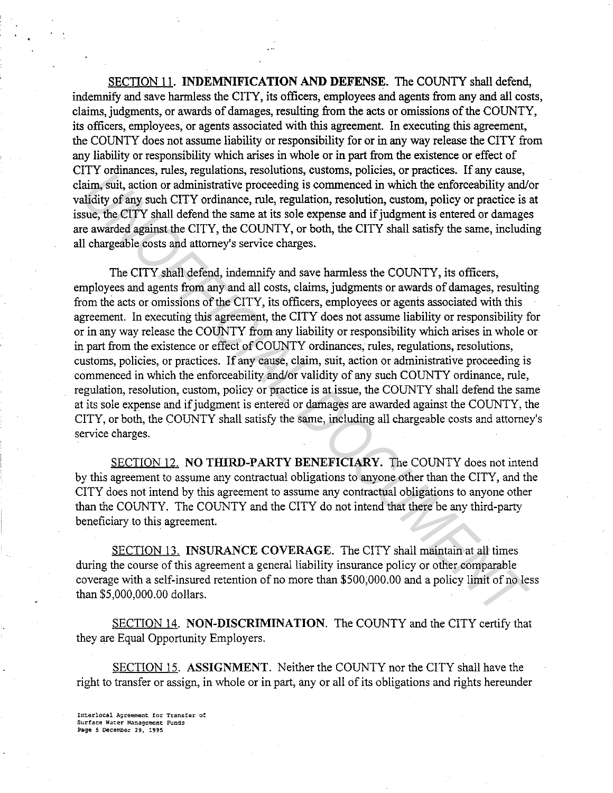SECTION 11. INDEMNIFICATION AND DEFENSE. The COUNTY shall defend, indemnify and save harmless the CITY, its officers, employees and agents from any and all costs, claims, judgments, or awards of damages, resulting from the acts or omissions of the COUNTY, its officers, employees, or agents associated with this agreement. In executing this agreement, the COUNTY does not assume liability or responsibility for or in any way release the CITY from any liability or responsibility which arises in whole or in part from the existence or effect of CITY ordinances, rules, regulations, resolutions, customs, policies, or practices. If any cause, claim, suit, action or administrative proceeding is commenced in which the enforceability and/or validity of any such CITY ordinance, rule, regulation, resolution, custom, policy or practice is at issue, the CITY shall defend the same at its sole expense and if judgment is entered or damages are awarded against the CITY, the COUNTY, or both, the CITY shall satisfy the same, including all chargeable costs and attorney's service charges.

The CITY shall defend, indemnify and save harmless the COUNTY, its officers, employees and agents from any and all costs, claims, judgments or awards of damages, resulting from the acts or omissions of the CITY, its officers, employees or agents associated with this agreement. In executing this agreement, the CITY does not assume liability or responsibility for or in any way release the COUNTY from any liability or responsibility which arises in whole or in part from the existence or effect of COUNTY ordinances, rules, regulations, resolutions, customs, policies, or practices. If any cause, claim, suit, action or administrative proceeding is commenced in which the enforceability and/or validity of any such COUNTY ordinance, rule, regulation, resolution, custom, policy or practice is at issue, the COUNTY shall defend the same at its sole expense and if judgment is entered or damages are awarded against the COUNTY, the CITY, or both, the COUNTY shall satisfy the same, including all chargeable costs and attorney's service charges. r 1 volumates, tutes, tegatatolas, issolutions, customs, piones, or pactaces, in any cases, in the enforceability and/<br>aim, suit, action or administrative proceeding is commenced in which the enforceability and/<br>aim, suit,

SECTION 12. NO THIRD-PARTY BENEFICIARY. The COUNTY does not intend by this agreement to assume any contractual obligations to anyone other than the CITY, and the CITY does not intend by this agreement to assume any contractual obligations to anyone other than the COUNTY. The COUNTY and the CITY do not intend that there be any third-party beneficiary to this agreement.

SECTION 13. INSURANCE COVERAGE. The CITY shall maintain at all times during the course of this agreement a general liability insurance policy or other comparable coverage with a self-insured retention of no more than \$500,000.00 and a policy limit of no less than \$5,000,000.00 dollars.

SECTION 14. NON-DISCRIMINATION. The COUNTY and the CITY certify that they are Equal Opportunity Employers.

SECTION 15. ASSIGNMENT. Neither the COUNTY nor the CITY shall have the right to transfer or assign, in whole or in part, any or all of its obligations and rights hereunder

Interlocal Agreement for Transfer of Surface Water Management Funds Page S December 29, l995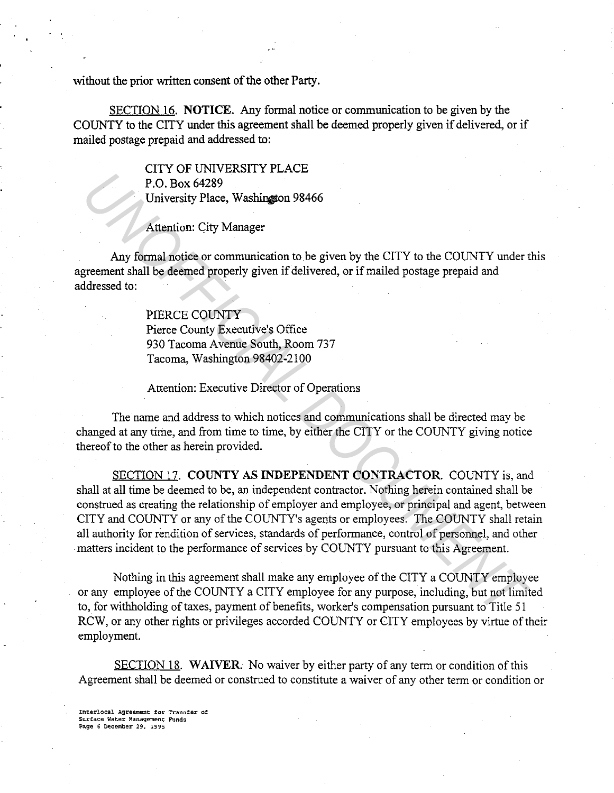without the prior written consent of the other Party.

SECTION 16. NOTICE. Any formal notice or communication to be given by the COUNTY to the CITY under this agreement shall be deemed properly given if delivered, or if mailed postage prepaid and addressed to:

> CITY OF UNIVERSITY PLACE P.O. Box 64289 University Place, Washington 98466

Attention: City Manager

Any formal notice or communication to be given by the CITY to the COUNTY under this agreement shall be deemed properly given if delivered, or if mailed postage prepaid and addressed to:

> PIERCE COUNTY Pierce County Executive's Office 930 Tacoma Avenue South, Room 737 Tacoma, Washington 98402-2100

Attention: Executive Director of Operations

The name and address to which notices and communications shall be directed may be changed at any time, and from time to time, by either the CITY or the COUNTY giving notice thereof to the other as herein provided.

SECTION 17. COUNTY AS INDEPENDENT CONTRACTOR. COUNTY is, and shall at all time be deemed to be, an independent contractor. Nothing herein contained shall be construed as creating the relationship of employer and employee, or principal and agent, between CITY and COUNTY or any of the COUNTY's agents or employees. The COUNTY shall retain all authority for rendition of services, standards of performance, control of personnel, and other matters incident to the performance of services by COUNTY pursuant to this Agreement. **EXAMPLE 12 CONSERVANCES**<br> **P.O. Box 64289**<br> **UNIVERSITY Place, Washington 98466**<br> **Attention:** City Manager<br> **Any formal notice or communication to be given by the CITY to the COUNTY under the<br>
<b>Premement shall be deemed** 

Nothing in this agreement shall make any employee of the CITY a COUNTY employee or any employee of the COUNTY a CITY employee for any purpose, including, but not limited to, for withholding of taxes, payment of benefits, worker's compensation pursuant to Title 51 RCW, or any other rights or privileges accorded COUNTY or CITY employees by virtue of their employment.

SECTION 18. WAIVER. No waiver by either party of any term or condition of this Agreement shall be deemed or construed to constitute a waiver of any other term or condition or

Interlocal Agreement for Transfer of Surface Wacer Management; Funds Page 6 December 29, 1995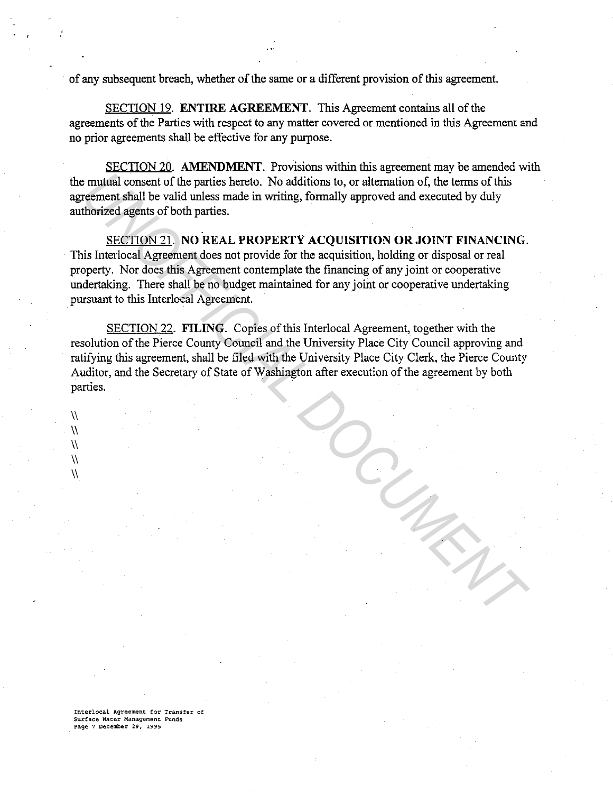of any subsequent breach, whether of the same or a different provision of this agreement.

SECTION 19. **ENTIRE AGREEMENT.** This Agreement contains all of the agreements of the Parties with respect to any matter covered or mentioned in this Agreement and no prior agreements shall be effective for any purpose.

SECTION 20. **AMENDMENT.** Provisions within this agreement may be amended with the mutual consent of the parties hereto. No additions to, or alternation of, the terms of this agreement shall be valid unless made in writing, formally approved and executed by duly authorized agents of both parties.

SECTION 21. **NO REAL PROPERTY ACQUISITION OR JOINT FINANCING.**  This Interlocal Agreement does not provide for the acquisition, holding or disposal or real property. Nor does this Agreement contemplate the financing of any joint or cooperative undertaking. There shall be no budget maintained for any joint or cooperative undertaking pursuant to this Interlocal Agreement.

SECTION 22. **FILING.** Copies of this Interlocal Agreement, together with the resolution of the Pierce County Council and the University Place City Council approving and ratifying this agreement, shall be filed with the University Place City Clerk, the Pierce County Auditor, and the Secretary of State of Washington after execution of the agreement by both parties. remutal consent of the parties hereto. No additions to, or alternation of, the terms of this referencent stall be valid unless made in writing, formally approved and executed by duly theories agents of both parties.<br>
SECTI

**Interlocal Agreement for Transfer of Surface Water Management Funds Page 7 December 29, 1995** 

 $\lambda$ \\ \\  $\sqrt{}$ \\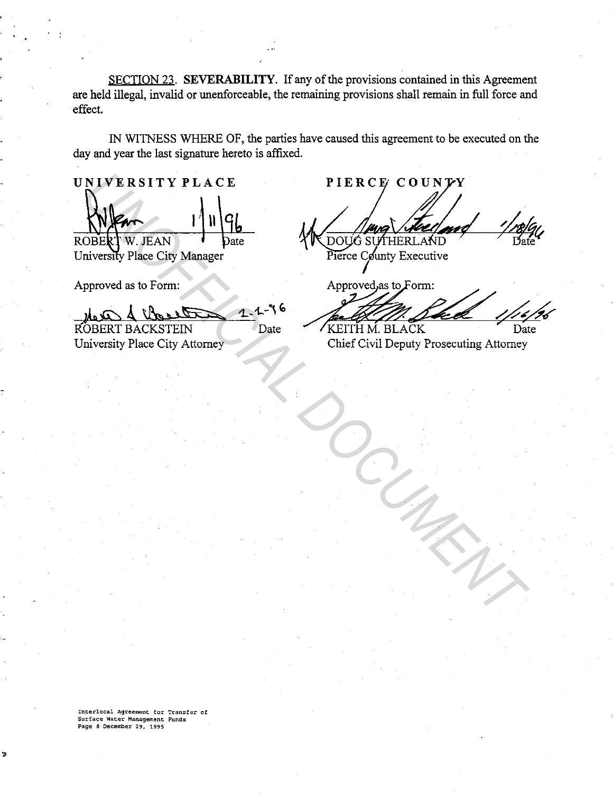SECTION 23. **SEVERABILITY.** If any of the provisions contained in this Agreement are held illegal, invalid or unenforceable, the remaining provisions shall remain in full force and effect.

IN WITNESS WHERE OF, the parties have caused this agreement to be executed on the day and year the last signature hereto is affixed.

**UNIVERSITY PLACE**  14 N W.JEAN

University Place City Manager

Approved as to Form:

*<u>GLASS 1.4-96</u>*<br>STEIN Date ROBERT BACKSTEIN

University Place City Attorney

**PIERCE COUNTY**<br>
MICHAEL DOBAL DEAN<br>
DOES W. JEAN<br>
INVERSITY PLACE CITY Manager<br>
Proved as to Form:<br>
Deach deal by the Capital Proved as to Form:<br>
Deach deal by Attorney<br>
OBERT BACKSTEIN<br>
OBERT BACKSTEIN<br>
OBERT BACKSTEIN<br>

**Interlocal Agreement for Transfer of Surface Water Management Funds Page 8 December 29, 1995**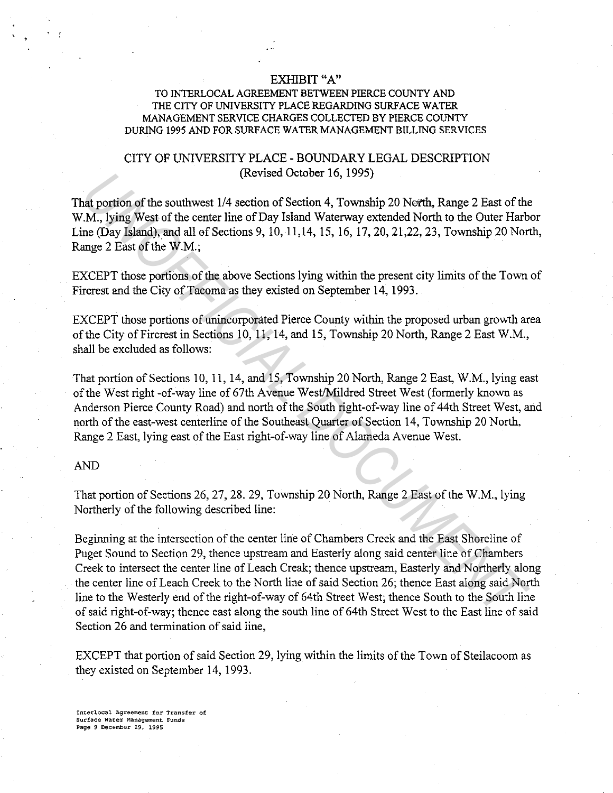#### EXHIBIT "A"

### TO INTERLOCAL AGREEMENT BETWEEN PIERCE COUNTY AND THE CITY OF UNIVERSITY PLACE REGARDING SURFACE WATER MANAGEMENT SERVICE CHARGES COLLECTED BY PIERCE COUNTY DURING I 995 AND FOR SURF ACE WATER MANAGEMENT BILLING SERVICES

## CITY OF UNIVERSITY PLACE - BOUNDARY LEGAL DESCRIPTION (Revised October 16, 1995)

That portion of the southwest 1/4 section of Section 4, Township 20 North, Range 2 East of the W.M., lying West of the center line of Day Island Waterway extended North to the Outer Harbor Line (Day Island), and all of Sections 9, 10, 11,14, 15, 16, 17, 20, 21,22, 23, Township 20 North, Range 2 East of the W.M.;

EXCEPT those portions of the above Sections lying within the present city limits of the Tovm of Fircrest and the City of Tacoma as they existed on September 14, 1993.

EXCEPT those portions of unincorporated Pierce County within the proposed urban growth area of the City of Fircrest in Sections 10, 11, 14, and 15, Township 20 North, Range 2 East W.M., shall be excluded as follows:

That portion of Sections 10, 11, 14, and 15, Township 20 North, Range 2 East, W.M., lying east of the West right -of-way line of 67th Avenue West/Mildred Street West (formerly known as Anderson Pierce County Road) and north of the South right-of-way line of 44th Street West, and north of the east-west centerline of the Southeast Quarter of Section 14, Township 20 North, Range 2 East, lying east of the East right-of-way line of Alameda Avenue West.

#### AND

That portion of Sections 26, 27, 28. 29, Township 20 North, Range 2 East of the W.M., lying Northerly of the following described line:

Beginning at the intersection of the center line of Chambers Creek and the East Shoreline of Puget Sound to Section 29, thence upstream and Easterly along said center line of Chambers Creek to intersect the center line of Leach Creak; thence upstream, Easterly and Northerly along the center line of Leach Creek to the North line of said Section 26; thence East along said North line to the Westerly end of the right-of-way of 64th Street West; thence South to the South line of said right-of-way; thence east along the south line of 64th Street West to the East line of said Section 26 and termination of said line, (kevised October 16, 1995)<br>
(kevised October 16, 1995)<br> *U.M.*, lying West of the ecutive coin of Section 4, Township 20 North, Range 2 East of the<br> *U.M.*, lying West of the center line of Day Island Waterway extended Nor

EXCEPT that portion of said Section 29, lying within the limits of the Town of Steilacoom as they existed on September 14, 1993.

**Interlocal Agreement for Transfer of Surface Water Management Funds Page 9 December** 29, **1995**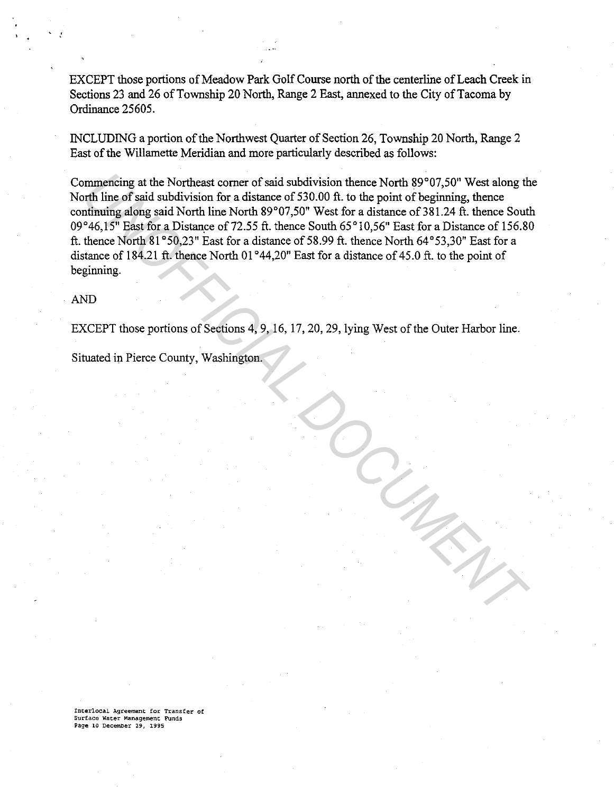EXCEPT those portions of Meadow Park Golf Course north of the centerline of Leach Creek in Sections 23 and 26 of Township 20 North, Range 2 East, annexed to the City of Tacoma by Ordinance 25605.

INCLUDING a portion of the Northwest Quarter of Section 26, Township 20 North, Range 2 East of the Willamette Meridian and more particularly described as follows:

Commencing at the Northeast comer of said subdivision thence North 89°07,50" West along the North line of said subdivision for a distance of 530.00 ft. to the point of beginning, thence continuing along said North line North 89°07,50" West for a distance of 381.24 ft. thence South 09°46,15" East for a Distance of 72.55 ft. thence South 65°10.56" East for a Distance of 156.80 ft. thence North  $81^{\circ}50,23$ " East for a distance of 58.99 ft. thence North 64 $^{\circ}53,30$ " East for a distance of 184.21 ft. thence North 01 °44,20" East for a distance of 45.0 ft. to the point of beginning. mmencing at the Northeast corner of said subdivision thence North 89°07,50° West along the film into f said subdivision for a distance of 330.00 ft. to the point of beginning, thence South film in for Suid and the South 89

AND

EXCEPT those portions of Sections 4, 9, 16, 17, 20, 29, lying West of the Outer Harbor line.

Situated in Pierce County, Washington.

**!nterlocal Agreement for Transfer of Surface Water Management Funds Page 10 December** 29, **1995**